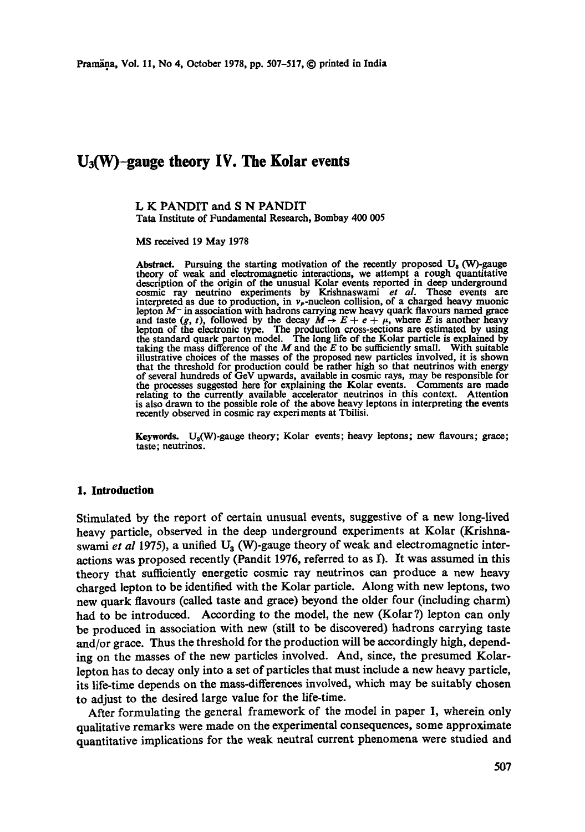# **U3(W)-gauge theory IV. The Kolar events**

#### **L K** PANDIT and **S N** PANDIT Tata Institute of Fundamental Research, Bombay 400 005

MS received 19 May 1978

Abstract. Pursuing the starting motivation of the recently proposed  $U_s$  (W)-gauge theory of weak and electromagnetic interactions, we attempt a rough quantitative description of the origin of the unusual Kolar events reported in deep underground cosmic ray neutrino experiments by Krishnaswami *et al.* These events are interpreted as due to production, in  $v_{\mu}$ -nucleon collision, of a charged heavy muonic lepton  $M^-$  in association with hadrons carrying new heavy quark flavours named grace and taste  $(g, t)$ , followed by the decay  $M \rightarrow E + e + \mu$ , where E is another heavy lepton of the electronic type. The production cross-sections are estimated by using<br>the standard quark parton model. The long life of the Kolar particle is explained by<br>taking the mass difference of the M and the E to be illustrative choices of the masses of the proposed new particles involved, it is shown that the threshold for production could be rather high so that neutrinos with energy of several hundreds of GeV upwards, available in cosmic rays, may be responsible for the processes suggested here for explaining the Kolar events. Comments are made relating to the currently available accelerator neutrinos in this context. Attention is also drawn to the possible role of the above heavy leptons in interpreting the events recently observed in cosmic ray experiments at Tbilisi.

Keywords.  $U_3(W)$ -gauge theory; Kolar events; heavy leptons; new flavours; grace; taste; neutrinos.

#### **1. Introduction**

Stimulated by the report of certain unusual events, suggestive of a new long-lived heavy particle, observed in the deep underground experiments at Kolar (Krishnaswami *et al* 1975), a unified  $U_3$  (W)-gauge theory of weak and electromagnetic interactions was proposed recently (Pandit 1976, referred to as D. It was assumed in this theory that sufficiently energetic cosmic ray neutrinos can produce a new heavy charged lepton to be identified with the Kolar particle. Along with new leptons, two new quark flavours (called taste and grace) beyond the older four (including charm) had to be introduced. According to the model, the new (Kolar?) lepton can only be produced in association with new (still to be discovered) hadrons carrying taste and/or grace. Thus the threshold for the production will be accordingly high, depending on the masses of the new particles involved. And, since, the presumed Kolarlepton has to decay only into a set of particles that must include a new heavy particle, its life-time depends on the mass-differences involved, which may be suitably chosen to adjust to the desired large value for the life-time.

After formulating the general framework of the model in paper I, wherein only qualitative remarks were made on the experimental consequences, some approximate quantitative implications for the weak neutral current phenomena were studied and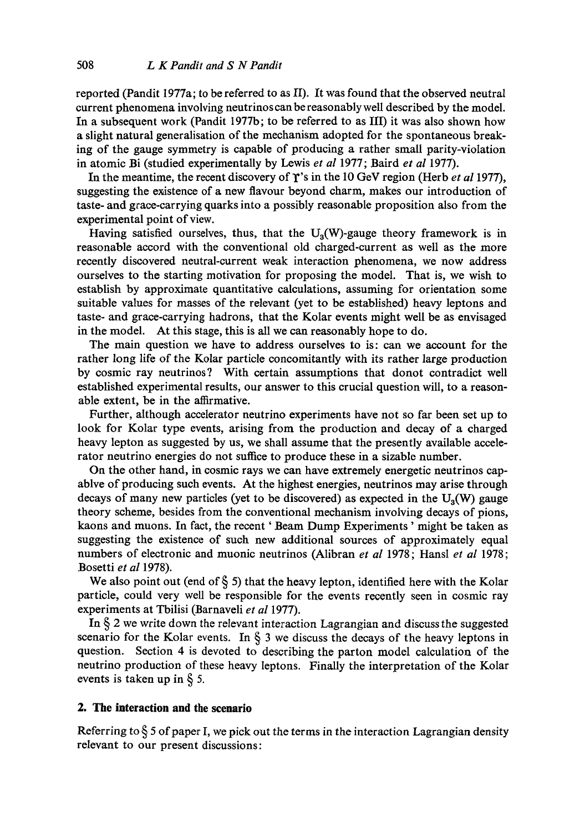reported (Pandit 1977a; to be referred to as II). It was found that the observed neutral current phenomena involving neutrinos canbe reasonably well described by the model. In a subsequent work (Pandit 1977b; to be referred to as III) it was also shown how a slight natural generalisation of the mechanism adopted for the spontaneous breaking of the gauge symmetry is capable of producing a rather small parity-violation in atomic Bi (studied experimentally by Lewis *et al* 1977; Baird *et al* 1977).

In the meantime, the recent discovery of  $\Upsilon$ 's in the 10 GeV region (Herb *et al* 1977), suggesting the existence of a new flavour beyond charm, makes our introduction of taste- and grace-carrying quarks into a possibly reasonable proposition also from the experimental point of view.

Having satisfied ourselves, thus, that the  $U_a(W)$ -gauge theory framework is in reasonable accord with the conventional old charged-current as well as the more recently discovered neutral-current weak interaction phenomena, we now address ourselves to the starting motivation for proposing the model. That is, we wish to establish by approximate quantitative calculations, assuming for orientation some suitable values for masses of the relevant (yet to be established) heavy leptons and taste- and grace-carrying hadrons, that the Kolar events might well be as envisaged in the model. At this stage, this is all we can reasonably hope to do.

The main question we have to address ourselves to is: can we account for the rather long life of the Kolar particle concomitantly with its rather large production by cosmic ray neutrinos? With certain assumptions that donot contradict well established experimental results, our answer to this crucial question will, to a reasonable extent, be in the affirmative.

Further, although accelerator neutrino experiments have not so far been set up to look for Kolar type events, arising from the production and decay of a charged heavy lepton as suggested by us, we shall assume that the presently available accelerator neutrino energies do not sutfice to produce these in a sizable number.

On the other hand, in cosmic rays we can have extremely energetic neutrinos capablve of producing such events. At the highest energies, neutrinos may arise through decays of many new particles (yet to be discovered) as expected in the  $U_3(W)$  gauge theory scheme, besides from the conventional mechanism involving decays of pions, kaons and muons. In fact, the recent ' Beam Dump Experiments' might be taken as suggesting the existence of such new additional sources of approximately equal numbers of electronic and muonic neutrinos (Alibran *et al* 1978; Hansl *et al* 1978; Bosetti *et al* 1978).

We also point out (end of § 5) that the heavy lepton, identified here with the Kolar particle, could very well be responsible for the events recently seen in cosmic ray experiments at Tbilisi (Barnaveli *et al* 1977).

In § 2 we write down the relevant interaction Lagrangian and discuss the suggested scenario for the Kolar events. In  $\S$  3 we discuss the decays of the heavy leptons in question. Section 4 is devoted to describing the parton model calculation of the neutrino production of these heavy leptons. Finally the interpretation of the Kolar events is taken up in § 5.

# **2. The interaction and the scenario**

Referring to  $\S$  5 of paper I, we pick out the terms in the interaction Lagrangian density relevant to our present discussions: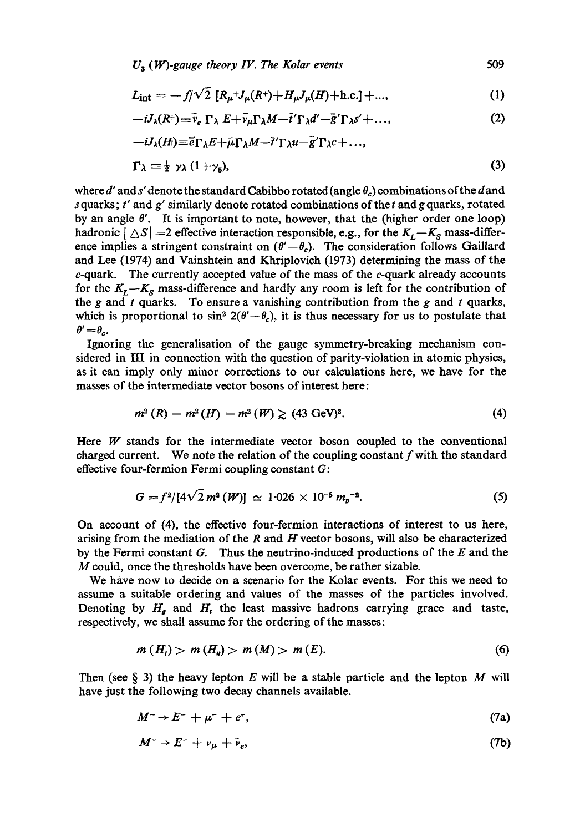$$
L_{\rm int} = -f/\sqrt{2} \, [R_{\mu} + J_{\mu}(R^+) + H_{\mu}J_{\mu}(H) + \text{h.c.}] + \dots,
$$
 (1)

$$
-iJ_{\lambda}(R^{+})\equiv \bar{\nu}_{e}\ \Gamma_{\lambda}\ E+\bar{\nu}_{\mu}\Gamma_{\lambda}M-\bar{t}^{\prime}\Gamma_{\lambda}d^{\prime}-\bar{g}^{\prime}\Gamma_{\lambda}s^{\prime}+\ldots, \qquad (2)
$$

$$
-iJ_{\lambda}(H) \equiv \bar{e}\Gamma_{\lambda}E + \bar{\mu}\Gamma_{\lambda}M - \bar{t}'\Gamma_{\lambda}u - \bar{g}'\Gamma_{\lambda}c + ...,
$$

$$
1'\lambda \equiv \frac{1}{2} \gamma_{\lambda} (1+\gamma_{5}), \qquad (3)
$$

where d' and s' denote the standard Cabibbo rotated (angle  $\theta_c$ ) combinations of the d and s quarks;  $t'$  and  $g'$  similarly denote rotated combinations of the  $t$  and  $g$  quarks, rotated by an angle  $\theta'$ . It is important to note, however, that the (higher order one loop) hadronic  $|\triangle S|$  =2 effective interaction responsible, e.g., for the  $K_L-K_S$  mass-difference implies a stringent constraint on  $(\theta'-\theta_c)$ . The consideration follows Gaillard and Lee (1974) and Vainshtein and Khriplovich (1973) determining the mass of the  $c$ -quark. The currently accepted value of the mass of the  $c$ -quark already accounts for the  $K_L-K_S$  mass-difference and hardly any room is left for the contribution of the g and  $t$  quarks. To ensure a vanishing contribution from the  $g$  and  $t$  quarks, which is proportional to  $\sin^2 2(\theta' - \theta_c)$ , it is thus necessary for us to postulate that  $\theta'=\theta_c$ .

Ignoring the generalisation of the gauge symmetry-breaking mechanism considered in III in connection with the question of parity-violation in atomic physics, as it can imply only minor corrections to our calculations here, we have for the masses of the intermediate vector bosons of interest here:

$$
m^{2}(R) = m^{2}(H) = m^{2}(W) \geq (43 \text{ GeV})^{2}.
$$
 (4)

Here  $W$  stands for the intermediate vector boson coupled to the conventional charged current. We note the relation of the coupling constant  $f$  with the standard effective four-fermion Fermi coupling constant G:

$$
G = f^2/[4\sqrt{2} m^2 (W)] \simeq 1.026 \times 10^{-5} m_p^{-2}.
$$
 (5)

On account of (4), the effective four-fermion interactions of interest to us here, arising from the mediation of the  $R$  and  $H$  vector bosons, will also be characterized by the Fermi constant  $G$ . Thus the neutrino-induced productions of the  $E$  and the M could, once the thresholds have been overcome, be rather sizable.

We have now to decide on a scenario for the Kolar events. For this we need to assume a suitable ordering and values of the masses of the particles involved. Denoting by  $H_{q}$  and  $H_{t}$  the least massive hadrons carrying grace and taste, respectively, we shall assume for the ordering of the masses:

$$
m(H_t) > m(H_g) > m(M) > m(E). \tag{6}
$$

Then (see  $\S$  3) the heavy lepton E will be a stable particle and the lepton M will have just the following two decay channels available.

$$
M^{-} \rightarrow E^{-} + \mu^{-} + e^{+}, \qquad (7a)
$$

$$
M^{-} \to E^{-} + \nu_{\mu} + \bar{\nu}_{e}, \tag{7b}
$$

509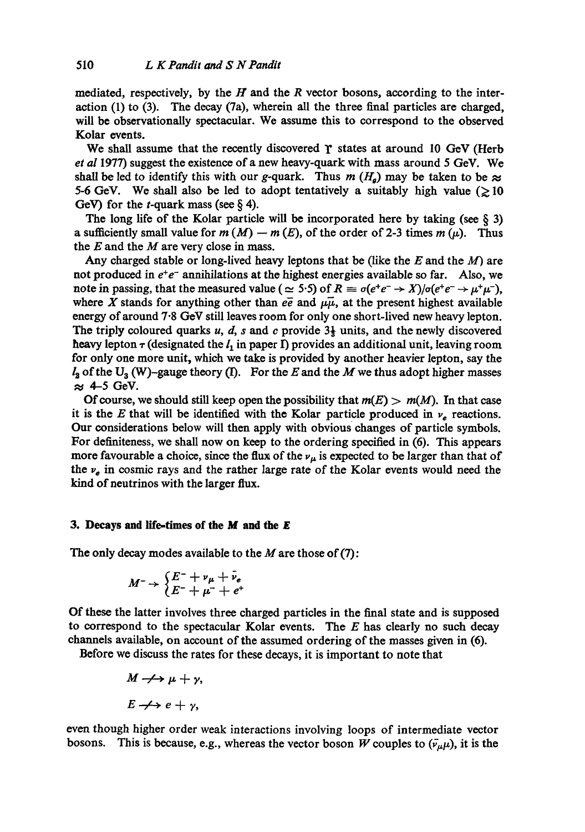mediated, respectively, by the  $H$  and the  $R$  vector bosons, according to the interaction (1) to (3). The decay (7a), wherein all the three final particles are charged, will be observationally spectacular. We assume this to correspond to the observed Kolar events.

We shall assume that the recently discovered  $\gamma$  states at around 10 GeV (Herb *et al* 1977) suggest the existence of a new heavy-quark with mass around 5 GeV. We shall be led to identify this with our g-quark. Thus  $m(H_g)$  may be taken to be  $\approx$ 5-6 GeV. We shall also be led to adopt tentatively a suitably high value ( $\geq 10$ ) GeV) for the *t*-quark mass (see  $\S$  4).

The long life of the Kolar particle will be incorporated here by taking (see  $\S$  3) a sufficiently small value for  $m(M) - m(E)$ , of the order of 2-3 times  $m(\mu)$ . Thus the  $E$  and the  $M$  are very close in mass.

Any charged stable or long-lived heavy leptons that be (like the  $E$  and the  $M$ ) are not produced in  $e^+e^-$  annihilations at the highest energies available so far. Also, we note in passing, that the measured value ( $\approx$  5.5) of  $R \equiv \sigma(e^+e^- \rightarrow X)/\sigma(e^+e^- \rightarrow \mu^+\mu^-)$ , where X stands for anything other than  $e\overline{e}$  and  $\mu\overline{\mu}$ , at the present highest available energy of around 7.8 GeV still leaves room for only one short-lived new heavy lepton. The triply coloured quarks u, d, s and c provide  $3\frac{1}{3}$  units, and the newly discovered heavy lepton  $\tau$  (designated the  $l_1$  in paper I) provides an additional unit, leaving room for only one more unit, which we take is provided by another heavier lepton, say the  $l_2$  of the U<sub>3</sub> (W)-gauge theory (I). For the E and the M we thus adopt higher masses  $\approx$  4-5 GeV.

Of course, we should still keep open the possibility that  $m(E) > m(M)$ . In that case it is the E that will be identified with the Kolar particle produced in  $\nu_e$  reactions. Our considerations below will then apply with obvious changes of particle symbols. For definiteness, we shall now on keep to the ordering specified in (6). This appears more favourable a choice, since the flux of the  $\nu_{\mu}$  is expected to be larger than that of the  $v_e$  in cosmic rays and the rather large rate of the Kolar events would need the kind of neutrinos with the larger flux.

## **3. Decays and life-times of the M and the £**

The only decay modes available to the  $M$  are those of (7):

$$
M^{-} \rightarrow \begin{cases} E^{-} + \nu_{\mu} + \bar{\nu}_{e} \\ E^{-} + \mu^{-} + e^{+} \end{cases}
$$

Of these the latter involves three charged particles in the final state and is supposed to correspond to the spectacular Kolar events. The  $E$  has clearly no such decay channels available, on account of the assumed ordering of the masses given in (6).

Before we discuss the rates for these decays, it is important *to* note that

$$
M \rightarrow \rightarrow \mu + \gamma,
$$
  

$$
E \rightarrow \rightarrow e + \gamma,
$$

even though higher order weak interactions involving loops of intermediate vector bosons. This is because, e.g., whereas the vector boson W couples to  $(\bar{\nu}_{\mu}\mu)$ , it is the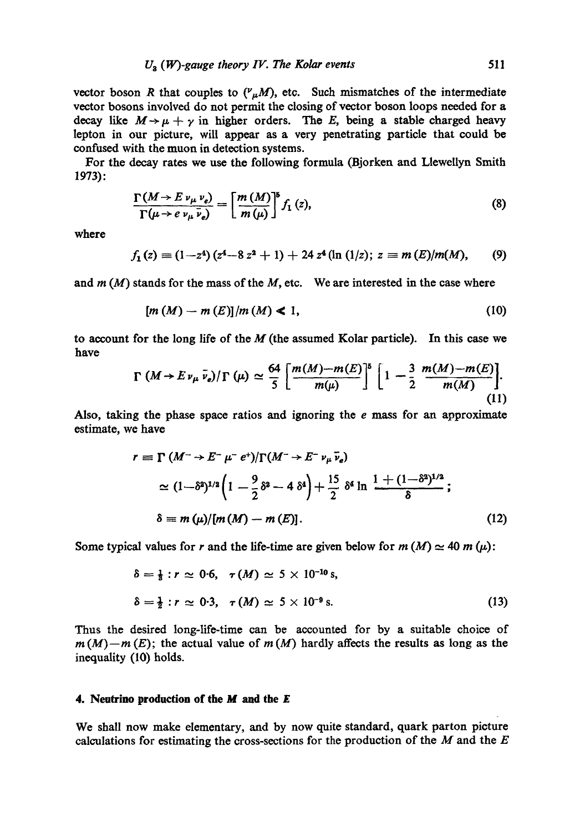vector boson R that couples to  $({^{\nu}}_{\mu}M)$ , etc. Such mismatches of the intermediate vector bosons involved do not permit the closing of vector boson loops needed for a decay like  $M \rightarrow \mu + \gamma$  in higher orders. The E, being a stable charged heavy lepton in our picture, will appear as a very penetrating particle that could be confused with the muon in detection systems.

For the decay rates we use the following formula (Bjorken and Llewellyn Smith 1973):

$$
\frac{\Gamma(M \to E \nu_{\mu} \nu_{e})}{\Gamma(\mu \to e \nu_{\mu} \nu_{e})} = \left[\frac{m(M)}{m(\mu)}\right]^{8} f_{1}(z), \tag{8}
$$

where

$$
f_1(z) \equiv (1-z^4) (z^4-8 z^2+1) + 24 z^4 (\ln (1/z); z \equiv m (E)/m(M),
$$
 (9)

and  $m(M)$  stands for the mass of the  $M$ , etc. We are interested in the case where

$$
[m(M) - m(E)]/m(M) \le 1,
$$
\n(10)

to account for the long life of the  $M$  (the assumed Kolar particle). In this case we have

$$
\Gamma\left(M \to E \nu_{\mu} \bar{\nu}_{e}\right)/\Gamma\left(\mu\right) \simeq \frac{64}{5} \left[ \frac{m(M) - m(E)}{m(\mu)} \right]^{5} \left[ 1 - \frac{3}{2} \frac{m(M) - m(E)}{m(M)} \right]. \tag{11}
$$

Also, taking the phase space ratios and ignoring the  $e$  mass for an approximate estimate, we have

$$
r = \Gamma(M^{-} \to E^{-} \mu^{-} e^{+})/\Gamma(M^{-} \to E^{-} \nu_{\mu} \bar{\nu}_{e})
$$
  
\n
$$
\simeq (1 - \delta^{2})^{1/2} \left(1 - \frac{9}{2} \delta^{2} - 4 \delta^{4}\right) + \frac{15}{2} \delta^{4} \ln \frac{1 + (1 - \delta^{2})^{1/2}}{\delta};
$$
  
\n
$$
\delta \equiv m(\mu)/[m(M) - m(E)].
$$
 (12)

Some typical values for r and the life-time are given below for  $m(M) \simeq 40$  m ( $\mu$ ):

$$
\delta = \frac{1}{3} : r \simeq 0.6, \quad \tau(M) \simeq 5 \times 10^{-10} \text{ s},
$$
  

$$
\delta = \frac{1}{2} : r \simeq 0.3, \quad \tau(M) \simeq 5 \times 10^{-9} \text{ s}.
$$
 (13)

Thus the desired long-life-time can be accounted for by a suitable choice of  $m(M)-m(E)$ ; the actual value of  $m(M)$  hardly affects the results as long as the inequality (10) holds.

#### **4. Neutrino production of the M and the E**

We shall now make elementary, and by now quite standard, quark parton picture calculations for estimating the cross-sections for the production of the  $M$  and the  $E$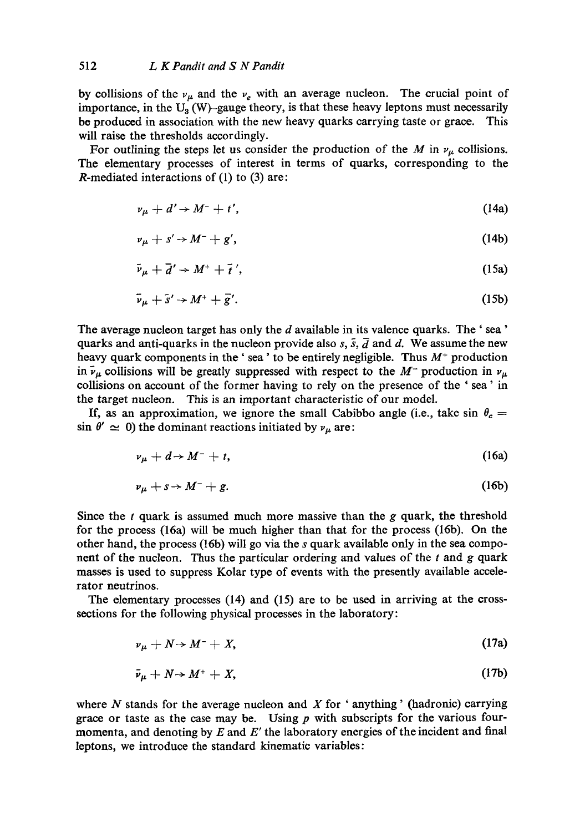by collisions of the  $v_{\mu}$  and the  $v_{e}$  with an average nucleon. The crucial point of importance, in the  $U_3(W)$ -gauge theory, is that these heavy leptons must necessarily be produced in association with the new heavy quarks carrying taste or grace. This will raise the thresholds accordingly.

For outlining the steps let us consider the production of the M in  $\nu_{\mu}$  collisions. The elementary processes of interest in terms of quarks, corresponding to the R-mediated interactions of (1) to (3) are:

$$
\nu_{\mu} + d' \rightarrow M^{-} + t', \tag{14a}
$$

$$
\nu_{\mu} + s' \rightarrow M^{-} + g', \tag{14b}
$$

$$
\bar{\nu}_{\mu} + \bar{d}' \rightarrow M^+ + \bar{t}', \qquad (15a)
$$

$$
\bar{\nu}_{\mu} + \bar{s}' \rightarrow M^+ + \bar{g}'.\tag{15b}
$$

The average nucleon target has only the d available in its valence quarks. The 'sea' quarks and anti-quarks in the nucleon provide also s,  $\bar{s}$ ,  $\bar{d}$  and d. We assume the new heavy quark components in the 'sea' to be entirely negligible. Thus  $M<sup>+</sup>$  production in  $\bar{\nu}_{\mu}$  collisions will be greatly suppressed with respect to the M<sup>-</sup> production in  $\nu_{\mu}$ collisions on account of the former having to rely on the presence of the ' sea' in the target nucleon. This is an important characteristic of our model.

If, as an approximation, we ignore the small Cabibbo angle (i.e., take sin  $\theta_c =$  $\sin \theta' \simeq 0$ ) the dominant reactions initiated by  $v_{\mu}$  are:

$$
\nu_{\mu} + d \rightarrow M^{-} + t,\tag{16a}
$$

$$
\nu_{\mu} + s \rightarrow M^{-} + g. \tag{16b}
$$

Since the  $t$  quark is assumed much more massive than the  $g$  quark, the threshold for the process (16a) will be much higher than that for the process (16b). On the other hand, the process (16b) will go via the s quark available only in the sea component of the nucleon. Thus the particular ordering and values of the  $t$  and  $g$  quark masses is used to suppress Kolar type of events with the presently available accelerator neutrinos.

The elementary processes (14) and (15) are to be used in arriving at the crosssections for the following physical processes in the laboratory:

$$
\nu_{\mu} + N \rightarrow M^{-} + X, \tag{17a}
$$

$$
\bar{\nu}_{\mu} + N \rightarrow M^+ + X, \tag{17b}
$$

where  $N$  stands for the average nucleon and  $X$  for 'anything' (hadronic) carrying grace or taste as the case may be. Using  $p$  with subscripts for the various fourmomenta, and denoting by  $E$  and  $E'$  the laboratory energies of the incident and final leptons, we introduce the standard kinematic variables: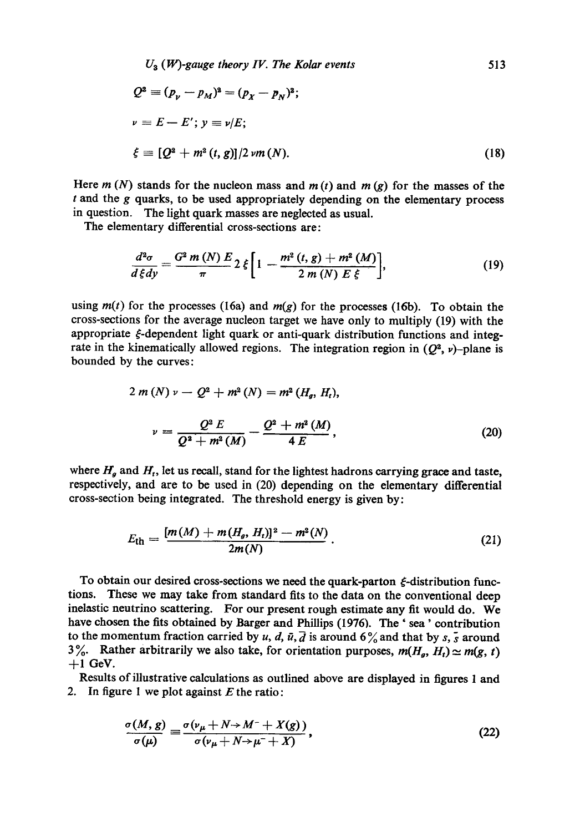$$
U_3 (W)\text{-gauge theory } IV. \text{ The Kolar events} \tag{513}
$$
\n
$$
Q^2 \equiv (p_\nu - p_M)^2 = (p_X - p_N)^2;
$$
\n
$$
\nu \equiv E - E'; \quad y \equiv \nu/E;
$$
\n
$$
\xi \equiv [Q^2 + m^2 (t, g)]/2 \, \nu m(N). \tag{18}
$$

Here  $m(N)$  stands for the nucleon mass and  $m(t)$  and  $m(g)$  for the masses of the  $t$  and the  $g$  quarks, to be used appropriately depending on the elementary process in question. The light quark masses are neglected as usual.

The elementary differential cross-sections are:

$$
\frac{d^2\sigma}{d\xi dy} = \frac{G^2 m (N) E}{\pi} 2 \xi \left[ 1 - \frac{m^2 (t, g) + m^2 (M)}{2 m (N) E \xi} \right],
$$
(19)

using  $m(t)$  for the processes (16a) and  $m(g)$  for the processes (16b). To obtain the cross-sections for the average nucleon target we have only to multiply (19) with the appropriate  $\xi$ -dependent light quark or anti-quark distribution functions and integrate in the kinematically allowed regions. The integration region in  $(Q^2, \nu)$ -plane is bounded by the curves:

$$
2 m (N) \nu - Q^{2} + m^{2} (N) = m^{2} (H_{g}, H_{t}),
$$

$$
\nu = \frac{Q^{2} E}{Q^{2} + m^{2} (M)} - \frac{Q^{2} + m^{2} (M)}{4 E},
$$
(20)

where  $H_g$  and  $H_t$ , let us recall, stand for the lightest hadrons carrying grace and taste, respectively, and are to be used in (20) depending on the elementary differential cross-section being integrated. The threshold energy is given by:

$$
E_{\rm th} = \frac{[m(M) + m(H_g, H_t)]^2 - m^2(N)}{2m(N)}.
$$
 (21)

To obtain our desired cross-sections we need the quark-parton  $\xi$ -distribution functions. These we may take from standard fits to the data on the conventional deep inelastic neutrino scattering. For our present rough estimate any fit would do. We have chosen the fits obtained by Barger and Phillips (1976). The ' sea' contribution to the momentum fraction carried by u, d,  $\bar{u}$ ,  $\bar{d}$  is around 6% and that by s,  $\bar{s}$  around 3%. Rather arbitrarily we also take, for orientation purposes,  $m(H_g, H_t) \simeq m(g, t)$  $+1$  GeV.

Results of illustrative calculations as outlined above are displayed in figures 1 and 2. In figure 1 we plot against  $E$  the ratio:

$$
\frac{\sigma(M,g)}{\sigma(\mu)} \equiv \frac{\sigma(\nu_{\mu} + N \rightarrow M^{-} + X(g))}{\sigma(\nu_{\mu} + N \rightarrow \mu^{-} + X)},
$$
\n(22)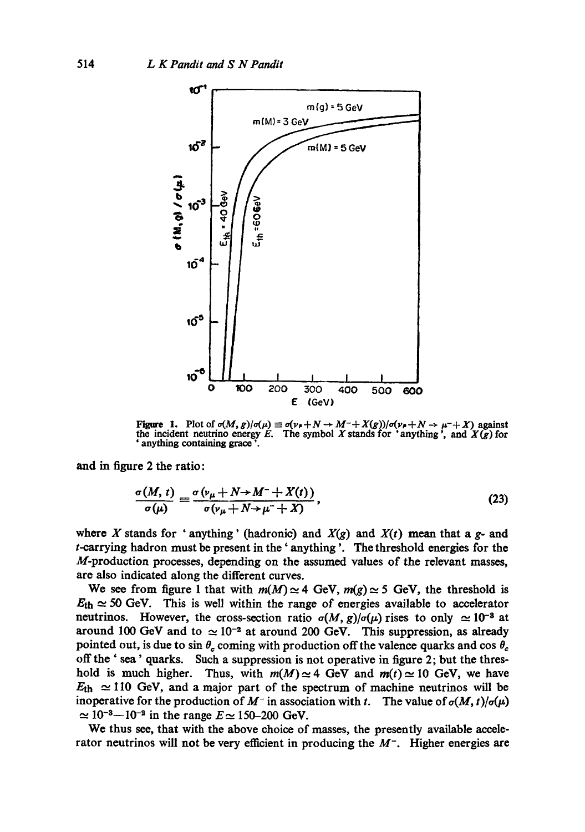

Figure 1. Plot of  $\sigma(M, g)/\sigma(\mu) \equiv \sigma(\nu_+ + N \to M^- + X(g))/\sigma(\nu_+ + N \to \mu^- + X)$  against the incident neutrino energy E. The symbol X stands for 'anything', and  $X(g)$  for ' anything containing grace '.

and in figure 2 the ratio:

$$
\frac{\sigma(M,\,t)}{\sigma(\mu)}\equiv\frac{\sigma\left(\nu_{\mu}+N\rightarrow M^{-}+X(t)\right)}{\sigma\left(\nu_{\mu}+N\rightarrow\mu^{-}+X\right)},\tag{23}
$$

where X stands for 'anything' (hadronic) and  $X(g)$  and  $X(t)$  mean that a g- and t-carrying hadron must be present in the' anything '. The threshold energies for the M-production processes, depending on the assumed values of the relevant masses, are also indicated along the different curves.

We see from figure 1 that with  $m(M) \approx 4$  GeV,  $m(g) \approx 5$  GeV, the threshold is  $E_{\text{th}} \simeq 50$  GeV. This is well within the range of energies available to accelerator neutrinos. However, the cross-section ratio  $\sigma(M, g)/\sigma(\mu)$  rises to only  $\simeq 10^{-8}$  at around 100 GeV and to  $\approx 10^{-2}$  at around 200 GeV. This suppression, as already pointed out, is due to sin  $\theta_c$  coming with production off the valence quarks and cos  $\theta_c$ off the ' sea' quarks. Such a suppression is not operative in figure 2; but the threshold is much higher. Thus, with  $m(M) \approx 4$  GeV and  $m(t) \approx 10$  GeV, we have  $E_{\text{th}} \approx 110$  GeV, and a major part of the spectrum of machine neutrinos will be inoperative for the production of  $M^-$  in association with t. The value of  $\sigma(M, t)/\sigma(\mu)$  $\simeq 10^{-3} - 10^{-2}$  in the range  $E \simeq 150 - 200$  GeV.

We thus see, that with the above choice of masses, the presently available accelerator neutrinos will not be very efficient in producing the  $M<sup>-</sup>$ . Higher energies are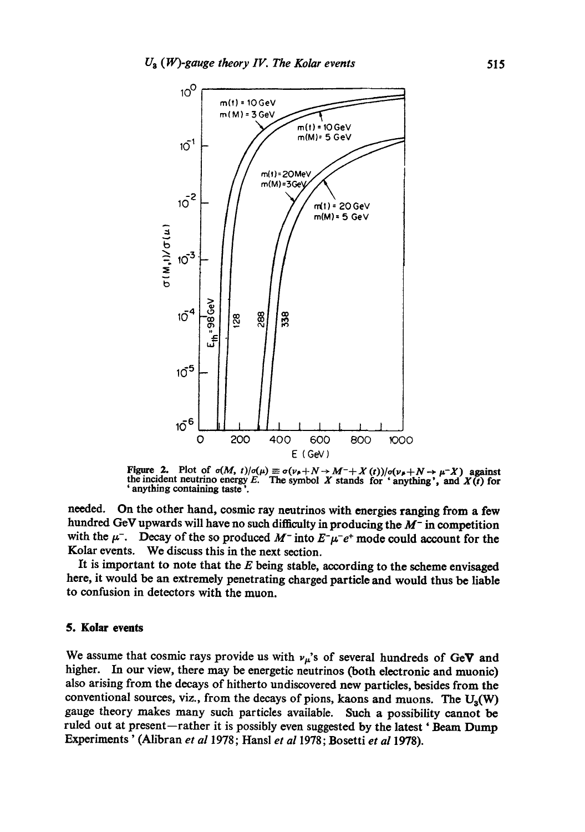

Figure 2. Plot of  $\sigma(M, t)/\sigma(\mu) \equiv \sigma(\nu_{\mu} + N \rightarrow M^- + X(t))/\sigma(\nu_{\mu} + N \rightarrow \mu^- X)$  against the incident neutrino energy E. The symbol X stands for ' anything', and X(t) for ' anything containing taste '.

needed. On the other hand, cosmic ray neutrinos with energies ranging from a few hundred GeV upwards will have no such difficulty in producing the  $M^-$  in competition with the  $\mu^-$ . Decay of the so produced  $M^-$  into  $E^-\mu^-e^+$  mode could account for the Kolar events. We discuss this in the next section.

It is important to note that the  $E$  being stable, according to the scheme envisaged here, it would be an extremely penetrating charged particle and would thus be liable to confusion in detectors with the muon.

### **5. Kolar events**

We assume that cosmic rays provide us with  $\nu_{\mu}$ 's of several hundreds of GeV and higher. In our view, there may be energetic neutrinos (both electronic and muonic) also arising from the decays of hitherto undiscovered new particles, besides from the conventional sources, viz., from the decays of pions, kaons and muons. The  $U_a(W)$ gauge theory makes many such particles available. Such a possibility cannot be ruled out at present-rather it is possibly even suggested by the latest ' Beam Dump Experiments' (Alibran *et al* 1978; Hansl *et al* 1978; Bosetti *et al* 1978).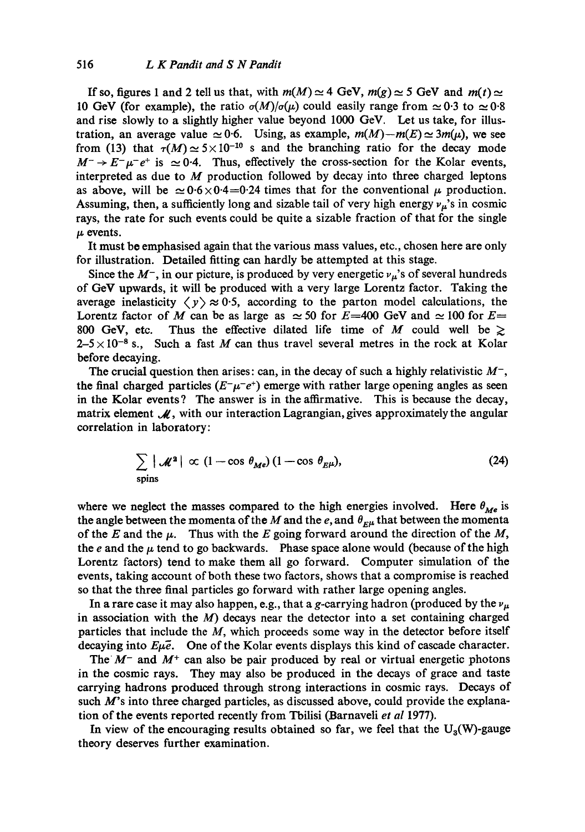If so, figures 1 and 2 tell us that, with  $m(M) \approx 4$  GeV,  $m(g) \approx 5$  GeV and  $m(t) \approx$ 10 GeV (for example), the ratio  $\sigma(M)/\sigma(\mu)$  could easily range from  $\simeq 0.3$  to  $\simeq 0.8$ and rise slowly to a slightly higher value beyond 1000 GeV. Let us take, for illustration, an average value  $\simeq 0.6$ . Using, as example,  $m(M)-m(E) \simeq 3m(\mu)$ , we see from (13) that  $\tau(M) \simeq 5 \times 10^{-10}$  s and the branching ratio for the decay mode  $M^- \rightarrow E^- \mu^- e^+$  is  $\simeq 0.4$ . Thus, effectively the cross-section for the Kolar events, interpreted as due to  $M$  production followed by decay into three charged leptons as above, will be  $\simeq 0.6 \times 0.4 = 0.24$  times that for the conventional  $\mu$  production. Assuming, then, a sufficiently long and sizable tail of very high energy  $\nu_{\mu}$ 's in cosmic rays, the rate for such events could be quite a sizable fraction of that for the single  $\mu$  events.

It must be emphasised again that the various mass values, etc., chosen here are only for illustration. Detailed fitting can hardly be attempted at this stage.

Since the  $M^-$ , in our picture, is produced by very energetic  $\nu_\mu$ 's of several hundreds of GeV upwards, it will be produced with a very large Lorentz factor. Taking the average inelasticity  $\langle y \rangle \approx 0.5$ , according to the parton model calculations, the Lorentz factor of M can be as large as  $\simeq$  50 for E=400 GeV and  $\simeq$  100 for E= 800 GeV, etc. Thus the effective dilated life time of M could well be  $\geq$  $2-5 \times 10^{-8}$  s., Such a fast M can thus travel several metres in the rock at Kolar before decaying.

The crucial question then arises: can, in the decay of such a highly relativistic  $M^-$ , the final charged particles  $(E-\mu^-e^+)$  emerge with rather large opening angles as seen in the Kolar events? The answer is in the affirmative. This is because the decay, matrix element  $\mathcal{M}$ , with our interaction Lagrangian, gives approximately the angular correlation in laboratory:

$$
\sum_{\text{spins}} |\mathcal{M}^2| \propto (1 - \cos \theta_{Me}) (1 - \cos \theta_{E\mu}), \tag{24}
$$

where we neglect the masses compared to the high energies involved. Here  $\theta_{Me}$  is the angle between the momenta of the M and the e, and  $\theta_{E\mu}$  that between the momenta of the E and the  $\mu$ . Thus with the E going forward around the direction of the M, the e and the  $\mu$  tend to go backwards. Phase space alone would (because of the high Lorentz factors) tend to make them all go forward. Computer simulation of the events, taking account of both these two factors, shows that a compromise is reached so that the three final particles go forward with rather large opening angles.

In a rare case it may also happen, e.g., that a g-carrying hadron (produced by the  $\nu_{\mu}$ in association with the  $M$ ) decays near the detector into a set containing charged particles that include the M, which proceeds some way in the detector before itself decaying into  $E\mu\bar{e}$ . One of the Kolar events displays this kind of cascade character.

The  $M^-$  and  $M^+$  can also be pair produced by real or virtual energetic photons in the cosmic rays. They may also be produced in the decays of grace and taste carrying hadrons produced through strong interactions in cosmic rays. Decays of such  $M$ 's into three charged particles, as discussed above, could provide the explanation of the events reported recently from Tbilisi (Barnaveli *et al* 1977).

In view of the encouraging results obtained so far, we feel that the  $U_3(W)$ -gauge theory deserves further examination.